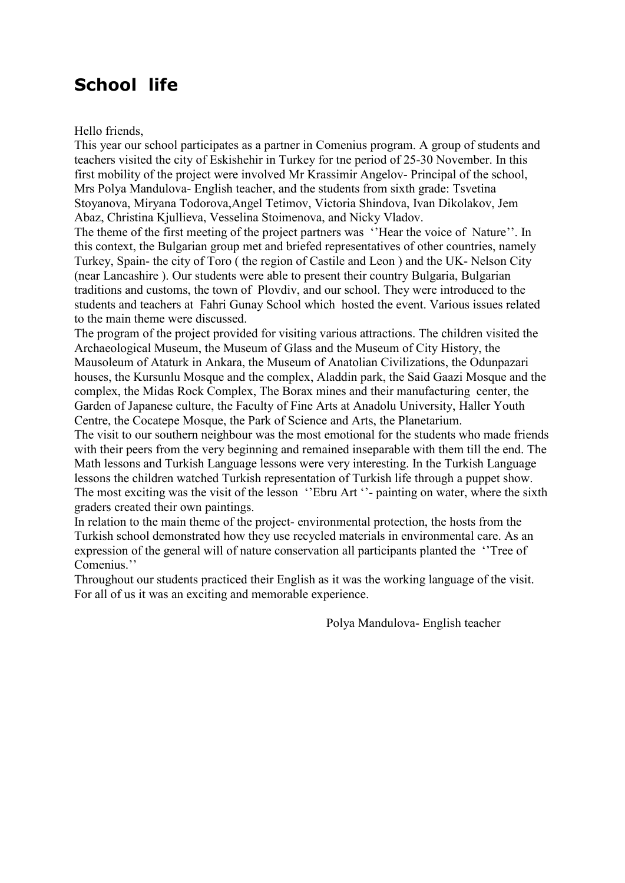## **School life**

Hello friends,

This year our school participates as a partner in Comenius program. A group of students and teachers visited the city of Eskishehir in Turkey for tne period of 25-30 November. In this first mobility of the project were involved Mr Krassimir Angelov- Principal of the school, Mrs Polya Mandulova- English teacher, and the students from sixth grade: Tsvetina Stoyanova, Miryana Todorova,Angel Tetimov, Victoria Shindova, Ivan Dikolakov, Jem Abaz, Christina Kjullieva, Vesselina Stoimenova, and Nicky Vladov.

The theme of the first meeting of the project partners was ''Hear the voice of Nature''. In this context, the Bulgarian group met and briefed representatives of other countries, namely Turkey, Spain- the city of Toro ( the region of Castile and Leon ) and the UK- Nelson City (near Lancashire ). Our students were able to present their country Bulgaria, Bulgarian traditions and customs, the town of Plovdiv, and our school. They were introduced to the students and teachers at Fahri Gunay School which hosted the event. Various issues related to the main theme were discussed.

The program of the project provided for visiting various attractions. The children visited the Archaeological Museum, the Museum of Glass and the Museum of City History, the Mausoleum of Ataturk in Ankara, the Museum of Anatolian Civilizations, the Odunpazari houses, the Kursunlu Mosque and the complex, Aladdin park, the Said Gaazi Mosque and the complex, the Midas Rock Complex, The Borax mines and their manufacturing center, the Garden of Japanese culture, the Faculty of Fine Arts at Anadolu University, Haller Youth Centre, the Cocatene Mosque, the Park of Science and Arts, the Planetarium.

The visit to our southern neighbour was the most emotional for the students who made friends with their peers from the very beginning and remained inseparable with them till the end. The Math lessons and Turkish Language lessons were very interesting. In the Turkish Language lessons the children watched Turkish representation of Turkish life through a puppet show. The most exciting was the visit of the lesson "Ebru Art" - painting on water, where the sixth graders created their own paintings.

In relation to the main theme of the project- environmental protection, the hosts from the Turkish school demonstrated how they use recycled materials in environmental care. As an expression of the general will of nature conservation all participants planted the ''Tree of Comenius.''

Throughout our students practiced their English as it was the working language of the visit. For all of us it was an exciting and memorable experience.

Polya Mandulova- English teacher